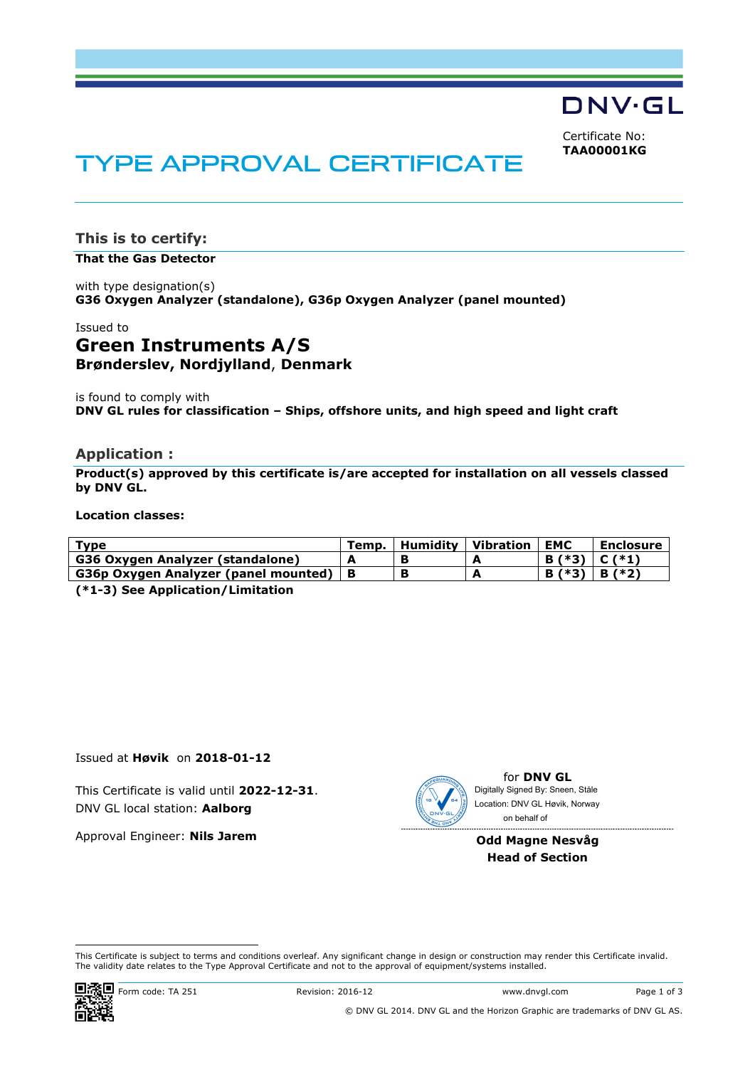DNV·GL

Certificate No: **TAA00001KG**

# TYPE APPROVAL CERTIFICATE

**This is to certify:** 

**That the Gas Detector**

with type designation(s) **G36 Oxygen Analyzer (standalone), G36p Oxygen Analyzer (panel mounted)**

## Issued to **Green Instruments A/S**

**Brønderslev, Nordjylland**, **Denmark** 

is found to comply with **DNV GL rules for classification – Ships, offshore units, and high speed and light craft** 

## **Application :**

**Product(s) approved by this certificate is/are accepted for installation on all vessels classed by DNV GL.** 

#### **Location classes:**

| Type                                           | Temp. | Humidity   Vibration | <b>EMC</b>        | Enclosure |
|------------------------------------------------|-------|----------------------|-------------------|-----------|
| G36 Oxygen Analyzer (standalone)               |       |                      | $B (*3)   C (*1)$ |           |
| G36p Oxygen Analyzer (panel mounted) $\vert$ B |       |                      | $B^{*(*)}$        | B (*2)    |
|                                                |       |                      |                   |           |

**(\*1-3) See Application/Limitation** 

Issued at **Høvik** on **2018-01-12**

This Certificate is valid until **2022-12-31**. DNV GL local station: **Aalborg**

Approval Engineer: **Nils Jarem**



for **DNV GL** on behalf ofDigitally Signed By: Sneen, Ståle Location: DNV GL Høvik, Norway

#### **Odd Magne Nesvåg Head of Section**

 This Certificate is subject to terms and conditions overleaf. Any significant change in design or construction may render this Certificate invalid. The validity date relates to the Type Approval Certificate and not to the approval of equipment/systems installed.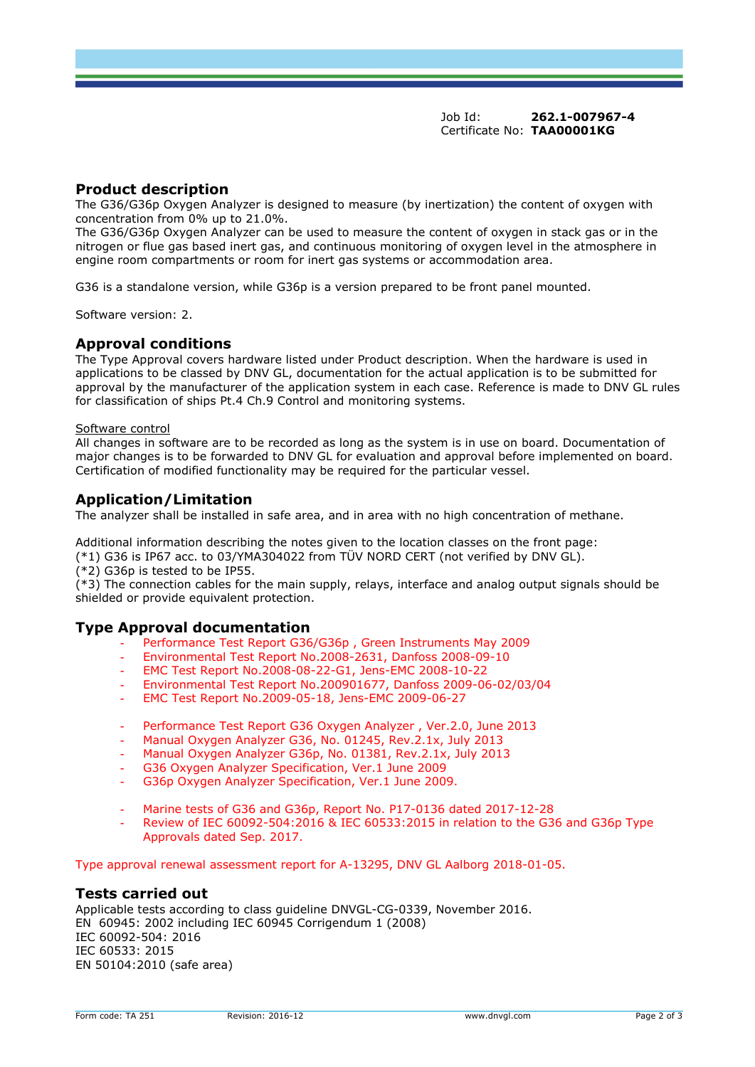Job Id: **262.1-007967-4**  Certificate No: **TAA00001KG**

## **Product description**

The G36/G36p Oxygen Analyzer is designed to measure (by inertization) the content of oxygen with concentration from 0% up to 21.0%.

The G36/G36p Oxygen Analyzer can be used to measure the content of oxygen in stack gas or in the nitrogen or flue gas based inert gas, and continuous monitoring of oxygen level in the atmosphere in engine room compartments or room for inert gas systems or accommodation area.

G36 is a standalone version, while G36p is a version prepared to be front panel mounted.

Software version: 2.

## **Approval conditions**

The Type Approval covers hardware listed under Product description. When the hardware is used in applications to be classed by DNV GL, documentation for the actual application is to be submitted for approval by the manufacturer of the application system in each case. Reference is made to DNV GL rules for classification of ships Pt.4 Ch.9 Control and monitoring systems.

#### Software control

All changes in software are to be recorded as long as the system is in use on board. Documentation of major changes is to be forwarded to DNV GL for evaluation and approval before implemented on board. Certification of modified functionality may be required for the particular vessel.

## **Application/Limitation**

The analyzer shall be installed in safe area, and in area with no high concentration of methane.

Additional information describing the notes given to the location classes on the front page:

(\*1) G36 is IP67 acc. to 03/YMA304022 from TÜV NORD CERT (not verified by DNV GL).

(\*2) G36p is tested to be IP55.

(\*3) The connection cables for the main supply, relays, interface and analog output signals should be shielded or provide equivalent protection.

### **Type Approval documentation**

- Performance Test Report G36/G36p, Green Instruments May 2009
- Environmental Test Report No.2008-2631, Danfoss 2008-09-10
- EMC Test Report No.2008-08-22-G1, Jens-EMC 2008-10-22
- Environmental Test Report No.200901677, Danfoss 2009-06-02/03/04
- EMC Test Report No.2009-05-18, Jens-EMC 2009-06-27
- Performance Test Report G36 Oxygen Analyzer, Ver.2.0, June 2013
- Manual Oxygen Analyzer G36, No. 01245, Rev.2.1x, July 2013
- Manual Oxygen Analyzer G36p, No. 01381, Rev.2.1x, July 2013
- G36 Oxygen Analyzer Specification, Ver.1 June 2009
- G36p Oxygen Analyzer Specification, Ver.1 June 2009.
- Marine tests of G36 and G36p, Report No. P17-0136 dated 2017-12-28
- Review of IEC 60092-504:2016 & IEC 60533:2015 in relation to the G36 and G36p Type Approvals dated Sep. 2017.

Type approval renewal assessment report for A-13295, DNV GL Aalborg 2018-01-05.

#### **Tests carried out**

Applicable tests according to class guideline DNVGL-CG-0339, November 2016. EN 60945: 2002 including IEC 60945 Corrigendum 1 (2008) IEC 60092-504: 2016 IEC 60533: 2015 EN 50104:2010 (safe area)